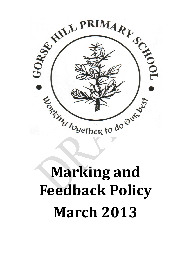

# **Marking and Feedback Policy March 2013**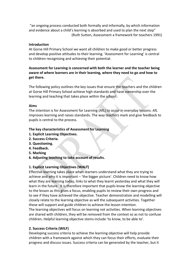"an ongoing process conducted both formally and informally, by which information and evidence about a child's learning is absorbed and used to plan the next step" (Ruth Sutton, Assessment a framework for teachers 1991)

#### **Introduction**

At Gorse Hill Primary School we want all children to make good or better progress and develop positive attitudes to their learning. 'Assessment for Learning' is central to children recognising and achieving their potential.

# **Assessment for Learning is concerned with both the learner and the teacher being aware of where learners are in their learning, where they need to go and how to get there.**

The following policy outlines the key issues that ensure the teachers and the children at Gorse Hill Primary School achieve high standards and have ownership over the learning and teaching that takes place within the school.

#### **Aims**

The intention is for Assessment for Learning (AfL) to occur in everyday lessons. AfL improves learning and raises standards. The way teachers mark and give feedback to pupils is central to the process.

# **The key characteristics of Assessment for Learning**

- **1. Explicit Learning Objectives.**
- **2. Success Criteria.**
- **3. Questioning.**
- **4. Feedback.**
- **5. Marking**
- **6. Adjusting teaching to take account of results.**

# **1. Explicit Learning Objectives (WALT)**

Effective learning takes place when learners understand what they are trying to achieve and why it is important – 'the bigger picture'. Children need to know how what they are learning today, links to what they learnt yesterday and what they will learn in the future. It is therefore important that pupils know the learning objective to the lesson as this gives a focus, enabling pupils to review their own progress and to see if they have achieved the objective. Teacher demonstration and modelling will closely relate to the learning objective as will the subsequent activities. Together these will support and guide children to achieve the lesson intention.

The learning objectives will focus on learning not activities. When learning objectives are shared with children, they will be removed from the context so as not to confuse children**.** Helpful learning objective stems include 'to know, to be able to'.

# **2. Success Criteria (WILF)**

Developing success criteria to achieve the learning objective will help provide children with a framework against which they can focus their efforts, evaluate their progress and discuss issues. Success criteria can be generated by the teacher, but it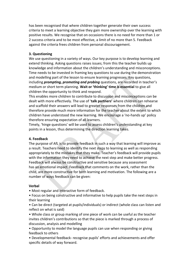has been recognised that where children together generate their own success criteria to meet a learning objective they gain more ownership over the learning with positive results. We recognise that on occasions there is no need for more than 1 or 2 success criteria and to be most effective, a limit of no more than 5. Feedback against the criteria frees children from personal discouragement.

# **3. Questioning**

We use questioning in a variety of ways. Our key purpose is to develop learning and extend thinking. Asking questions raises issues; from this the teacher builds up knowledge and information about the children's understanding and misconceptions. Time needs to be invested in framing key questions to use during the demonstration and modelling part of the lesson to ensure learning progresses. Key questions, including *prompting, promoting and probing* questions, are recorded in teacher's medium or short term planning. **Wait or 'thinking' time is essential** to give all children the opportunity to think and respond.

This enables more children to contribute to discussion and misconceptions can be dealt with more effectively. The use of '**talk partners'** where children can rehearse and scaffold their answers will lead to greater responses from the children and therefore provide much more information for the teacher about the extent to which children have understood the new learning. We encourage a 'no-hands up' policy therefore ensuring expectation of all learners.

Timely, 'hinge questions' will be used to assess children's understanding at key points in a lesson, thus determining the direction learning takes.

# **4. Feedback**

The purpose of AfL is to provide feedback in such a way that learning will improve as a result. Teachers need to identify the next steps to learning as well as responding appropriately to the mistakes that they make. Teacher's feedback will provide pupils with the information they need to achieve the next step and make better progress. Feedback will always be constructive and sensitive because any assessment has an emotional impact. Feedback that comments on the work, rather than the child, are more constructive for both learning and motivation. The following are a number of ways feedback can be given:

# **Verbal**

• Most regular and interactive form of feedback.

• Focus on being constructive and informative to help pupils take the next steps in their learning

• Can be direct (targeted at pupils/individuals) or indirect (whole class can listen and reflect on what is said)

• Whole class or group marking of one piece of work can be useful as the teacher invites children's contributions so that the piece is marked through a process of discussion, analysis and modelling

• Opportunity to model the language pupils can use when responding or giving feedback to others

• Developmental feedback- recognise pupils' efforts and achievements and offer specific details of way forward.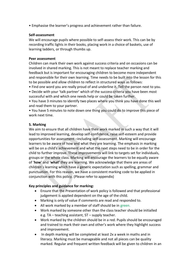• Emphasise the learner's progress and achievement rather than failure.

#### **Self-assessment**

We will encourage pupils where possible to self-assess their work. This can be by recording traffic lights in their books, placing work in a choice of baskets, use of learning ladders, or through thumbs up.

#### **Peer assessment**

Children can mark their own work against success criteria and on occasions can be involved in shared marking. This is not meant to replace teacher marking and feedback but is important for encouraging children to become more independent and responsible for their own learning. Time needs to be built into the lesson for this to be possible and allow children to reflect in structured ways as follows:

• Find one word you are really proud of and underline it. Tell the person next to you.

• Decide with your 'talk partner' which of the success criteria you have been most successful with and which one needs help or could be taken further.

• You have 3 minutes to identify two places where you think you have done this well and read them to your partner.

• You have 5 minutes to note down one thing you could do to improve this piece of work next time.

# **5. Marking**

We aim to ensure that all children have their work marked in such a way that it will lead to improved learning, develop self-confidence, raise self-esteem and provide opportunities for assessment –including self-assessment. Marking will encourage learners to be aware of how and what they are learning. The emphasis in marking will be on a child's achievement and what the next steps need to be in order for the child to further improve. These improvements will link to targets set for individuals, groups or the whole class. Marking will encourage the learners to be equally aware of '**how**' and '**what'** they are learning. We acknowledge that there are areas of children's learning which have a generic expectation such as spelling, grammar and punctuation. For this reason, we have a consistent marking code to be applied in conjunction with this policy. (Please refer to appendix)

# **Key principles and guidance for marking:**

- Ensure that the Presentation of work policy is followed and that professional judgement is applied dependent on the age of the child.
- Marking is only of value if comments are read and responded to.
- All work marked by a member of staff should be in green.
- Work marked by someone other than the class teacher should be initialled e.g. TA – teaching assistant, ST – supply teacher.
- Work marked by the children should be in a red. Pupils should be encouraged and trained to mark their own and other's work where they highlight success and improvement.
- In depth marking will be completed at least 2x a week in maths and in literacy. Marking must be manageable and not all pieces can be quality marked. Regular and frequent written feedback will be given to children in an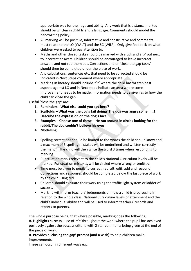appropriate way for their age and ability. Any work that is distance marked should be written in child friendly language. Comments should model the handwriting policy.

- All marking will be positive, informative and constructive and comments must relate to the LO (WALT) and the SC (WILF) . Only give feedback on what children were asked to pay attention to.
- Maths and other closed tasks should be marked with a tick and a 'x' put next to incorrect answers. Children should be encouraged to leave incorrect answers and not rub them out. Corrections and or 'close the gap tasks' should then be completed under the piece of work.
- Any calculations, sentences etc. that need to be corrected should be indicated in Next Steps comment where appropriate.
- Marking in literacy should include  $\checkmark\checkmark$  where the child has written best aspects against LO and in Next steps indicate an area where some improvement needs to be made. Information needs to be given as to how the child can close the gap.

Useful 'close the gap' are:

- **1. Reminders - What else could you say here?**
- **2. Scaffolds – What was the dog's tail doing? The dog was angry so he......! Describe the expression on the dog's face.**
- **3. Examples – Choose one of these – He ran around in circles looking for the rabbit/The dog couldn't believe his eyes.**
- **4. Modelling.**
- Spelling corrections should be limited to the words the child should know and a maximum of 3 spelling mistakes will be underlined and written correctly in the margin. The child will then write the word 3 times when responding to marking.
- Punctuation marks relevant to the child's National Curriculum levels will be marked. Punctuation mistakes will be circled where wrong or omitted.
- Time must be given to pupils to correct, redraft, edit, add and respond. Corrections and responses should be completed below the last piece of work by the child using red.
- Children should evaluate their work using the traffic light system or ladder of success.
- Marking will inform teachers' judgements on how a child is progressing in relation to the whole class, National Curriculum levels of attainment and the child's individual ability and will be used to inform teachers' records and reports to parents.

The whole purpose being, that where possible, marking does the following; **A. Highlights success** - use of  $\sqrt{\sqrt{t}}$  throughout the work where the pupil has achieved positively against the success criteria with 2 star comments being given at the end of the piece of work.

# **B. Provides a 'closing the gap' prompt (and a wish)** to help children make improvements.

These can occur in different ways e.g.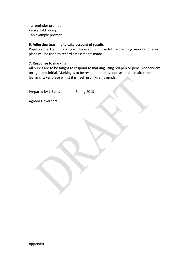- a reminder prompt
- a scaffold prompt
- an example prompt

#### **6. Adjusting teaching to take account of results**

Pupil feedback and marking will be used to inform future planning. Annotations on plans will be used to record assessments made.

#### **7. Response to marking**

All pupils are to be taught to respond to marking using red pen or pencil (dependent on age) and initial. Marking is to be responded to as soon as possible after the learning takes place whilst it is fresh in children's minds.

| Prepared by L Bates | Spring 2013 |
|---------------------|-------------|
| Agreed Governors _  |             |
|                     |             |
|                     |             |
|                     |             |
|                     |             |
|                     |             |
|                     |             |
|                     |             |
|                     |             |
|                     |             |
|                     |             |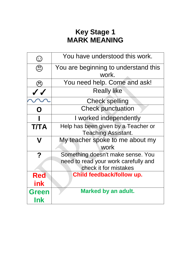# **Key Stage 1 MARK MEANING**

| $\odot$                        | You have understood this work.                                                                     |
|--------------------------------|----------------------------------------------------------------------------------------------------|
| $\textcircled{\scriptsize{2}}$ | You are beginning to understand this<br>work.                                                      |
| ි                              | You need help. Come and ask!                                                                       |
| $\checkmark$                   | <b>Really like</b>                                                                                 |
|                                | <b>Check spelling</b>                                                                              |
| O                              | <b>Check punctuation</b>                                                                           |
|                                | I worked independently                                                                             |
| <b>T/TA</b>                    | Help has been given by a Teacher or<br><b>Teaching Assistant.</b>                                  |
| V                              | My teacher spoke to me about my<br>work                                                            |
| $\boldsymbol{?}$               | Something doesn't make sense. You<br>need to read your work carefully and<br>check it for mistakes |
| <b>Red</b><br>ink              | Child feedback/follow up.                                                                          |
| <b>Green</b><br>Ink            | <b>Marked by an adult.</b>                                                                         |